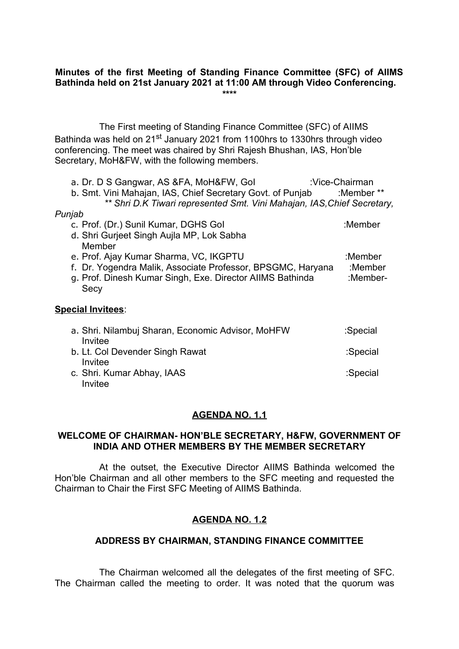## **Minutes of the first Meeting of Standing Finance Committee (SFC) of AIIMS Bathinda held on 21st January 2021 at 11:00 AM through Video Conferencing. \*\*\*\***

The First meeting of Standing Finance Committee (SFC) of AIIMS Bathinda was held on 21<sup>st</sup> January 2021 from 1100hrs to 1330hrs through video conferencing. The meet was chaired by Shri Rajesh Bhushan, IAS, Hon'ble Secretary, MoH&FW, with the following members.

| a. Dr. D S Gangwar, AS & FA, MoH& FW, Gol                               | :Vice-Chairman |
|-------------------------------------------------------------------------|----------------|
| b. Smt. Vini Mahajan, IAS, Chief Secretary Govt. of Punjab              | :Member **     |
| ** Shri D.K Tiwari represented Smt. Vini Mahajan, IAS, Chief Secretary, |                |
| Punjab                                                                  |                |
| c. Prof. (Dr.) Sunil Kumar, DGHS Gol                                    | :Member        |
| d. Shri Gurjeet Singh Aujla MP, Lok Sabha                               |                |
| Member                                                                  |                |
| e. Prof. Ajay Kumar Sharma, VC, IKGPTU                                  | :Member        |
| f. Dr. Yogendra Malik, Associate Professor, BPSGMC, Haryana             | :Member        |
| g. Prof. Dinesh Kumar Singh, Exe. Director AllMS Bathinda               | :Member-       |
| Secy                                                                    |                |
|                                                                         |                |
| <b>Special Invitees:</b>                                                |                |
|                                                                         |                |
| a. Shri. Nilambuj Sharan, Economic Advisor, MoHFW                       | :Special       |
| Invitee                                                                 |                |
| b. Lt. Col Devender Singh Rawat                                         | :Special       |
| Invitee                                                                 |                |
| c. Shri. Kumar Abhay, IAAS                                              | :Special       |
| Invitee                                                                 |                |

## **AGENDA NO. 1.1**

#### **WELCOME OF CHAIRMAN- HON'BLE SECRETARY, H&FW, GOVERNMENT OF INDIA AND OTHER MEMBERS BY THE MEMBER SECRETARY**

At the outset, the Executive Director AIIMS Bathinda welcomed the Hon'ble Chairman and all other members to the SFC meeting and requested the Chairman to Chair the First SFC Meeting of AIIMS Bathinda.

# **AGENDA NO. 1.2**

## **ADDRESS BY CHAIRMAN, STANDING FINANCE COMMITTEE**

The Chairman welcomed all the delegates of the first meeting of SFC. The Chairman called the meeting to order. It was noted that the quorum was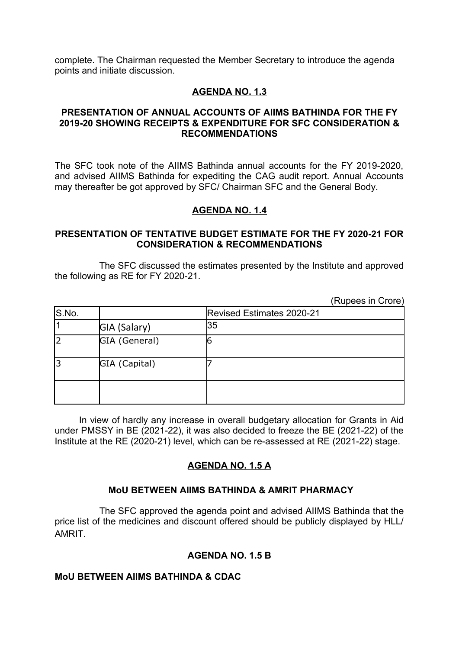complete. The Chairman requested the Member Secretary to introduce the agenda points and initiate discussion.

## **AGENDA NO. 1.3**

#### **PRESENTATION OF ANNUAL ACCOUNTS OF AIIMS BATHINDA FOR THE FY 2019-20 SHOWING RECEIPTS & EXPENDITURE FOR SFC CONSIDERATION & RECOMMENDATIONS**

The SFC took note of the AIIMS Bathinda annual accounts for the FY 2019-2020, and advised AIIMS Bathinda for expediting the CAG audit report. Annual Accounts may thereafter be got approved by SFC/ Chairman SFC and the General Body.

#### **AGENDA NO. 1.4**

#### **PRESENTATION OF TENTATIVE BUDGET ESTIMATE FOR THE FY 2020-21 FOR CONSIDERATION & RECOMMENDATIONS**

The SFC discussed the estimates presented by the Institute and approved the following as RE for FY 2020-21.

(Rupees in Crore)

| S.No. |               | Revised Estimates 2020-21 |
|-------|---------------|---------------------------|
|       | GIA (Salary)  | 135                       |
|       | GIA (General) |                           |
|       | GIA (Capital) |                           |
|       |               |                           |

In view of hardly any increase in overall budgetary allocation for Grants in Aid under PMSSY in BE (2021-22), it was also decided to freeze the BE (2021-22) of the Institute at the RE (2020-21) level, which can be re-assessed at RE (2021-22) stage.

# **AGENDA NO. 1.5 A**

## **MoU BETWEEN AIIMS BATHINDA & AMRIT PHARMACY**

The SFC approved the agenda point and advised AIIMS Bathinda that the price list of the medicines and discount offered should be publicly displayed by HLL/ AMRIT.

## **AGENDA NO. 1.5 B**

#### **MoU BETWEEN AIIMS BATHINDA & CDAC**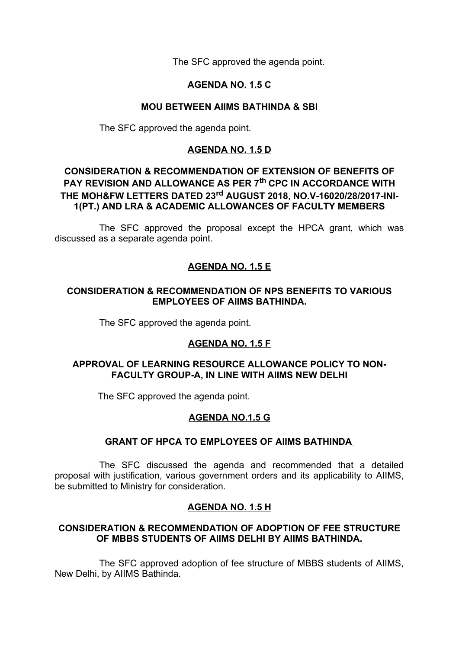The SFC approved the agenda point.

# **AGENDA NO. 1.5 C**

# **MOU BETWEEN AIIMS BATHINDA & SBI**

The SFC approved the agenda point.

## **AGENDA NO. 1.5 D**

# **CONSIDERATION & RECOMMENDATION OF EXTENSION OF BENEFITS OF PAY REVISION AND ALLOWANCE AS PER 7th CPC IN ACCORDANCE WITH THE MOH&FW LETTERS DATED 23rd AUGUST 2018, NO.V-16020/28/2017-INI-1(PT.) AND LRA & ACADEMIC ALLOWANCES OF FACULTY MEMBERS**

The SFC approved the proposal except the HPCA grant, which was discussed as a separate agenda point.

# **AGENDA NO. 1.5 E**

## **CONSIDERATION & RECOMMENDATION OF NPS BENEFITS TO VARIOUS EMPLOYEES OF AIIMS BATHINDA.**

The SFC approved the agenda point.

# **AGENDA NO. 1.5 F**

## **APPROVAL OF LEARNING RESOURCE ALLOWANCE POLICY TO NON-FACULTY GROUP-A, IN LINE WITH AIIMS NEW DELHI**

The SFC approved the agenda point.

# **AGENDA NO.1.5 G**

## **GRANT OF HPCA TO EMPLOYEES OF AIIMS BATHINDA**

The SFC discussed the agenda and recommended that a detailed proposal with justification, various government orders and its applicability to AIIMS, be submitted to Ministry for consideration.

# **AGENDA NO. 1.5 H**

## **CONSIDERATION & RECOMMENDATION OF ADOPTION OF FEE STRUCTURE OF MBBS STUDENTS OF AIIMS DELHI BY AIIMS BATHINDA.**

The SFC approved adoption of fee structure of MBBS students of AIIMS, New Delhi, by AIIMS Bathinda.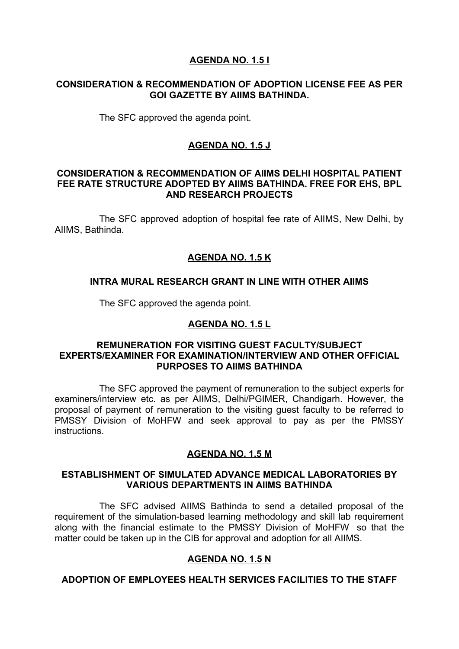## **AGENDA NO. 1.5 I**

#### **CONSIDERATION & RECOMMENDATION OF ADOPTION LICENSE FEE AS PER GOI GAZETTE BY AIIMS BATHINDA.**

The SFC approved the agenda point.

## **AGENDA NO. 1.5 J**

#### **CONSIDERATION & RECOMMENDATION OF AIIMS DELHI HOSPITAL PATIENT FEE RATE STRUCTURE ADOPTED BY AIIMS BATHINDA. FREE FOR EHS, BPL AND RESEARCH PROJECTS**

The SFC approved adoption of hospital fee rate of AIIMS, New Delhi, by AIIMS, Bathinda.

## **AGENDA NO. 1.5 K**

#### **INTRA MURAL RESEARCH GRANT IN LINE WITH OTHER AIIMS**

The SFC approved the agenda point.

## **AGENDA NO. 1.5 L**

#### **REMUNERATION FOR VISITING GUEST FACULTY/SUBJECT EXPERTS/EXAMINER FOR EXAMINATION/INTERVIEW AND OTHER OFFICIAL PURPOSES TO AIIMS BATHINDA**

The SFC approved the payment of remuneration to the subject experts for examiners/interview etc. as per AIIMS, Delhi/PGIMER, Chandigarh. However, the proposal of payment of remuneration to the visiting guest faculty to be referred to PMSSY Division of MoHFW and seek approval to pay as per the PMSSY instructions.

## **AGENDA NO. 1.5 M**

#### **ESTABLISHMENT OF SIMULATED ADVANCE MEDICAL LABORATORIES BY VARIOUS DEPARTMENTS IN AIIMS BATHINDA**

The SFC advised AIIMS Bathinda to send a detailed proposal of the requirement of the simulation-based learning methodology and skill lab requirement along with the financial estimate to the PMSSY Division of MoHFW so that the matter could be taken up in the CIB for approval and adoption for all AIIMS.

# **AGENDA NO. 1.5 N**

# **ADOPTION OF EMPLOYEES HEALTH SERVICES FACILITIES TO THE STAFF**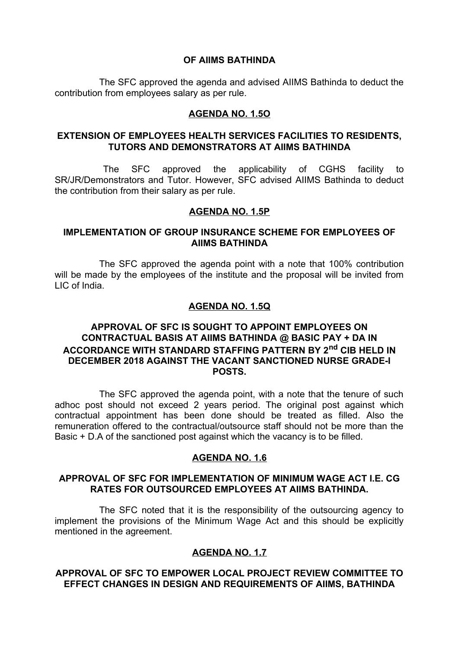#### **OF AIIMS BATHINDA**

The SFC approved the agenda and advised AIIMS Bathinda to deduct the contribution from employees salary as per rule.

## **AGENDA NO. 1.5O**

#### **EXTENSION OF EMPLOYEES HEALTH SERVICES FACILITIES TO RESIDENTS, TUTORS AND DEMONSTRATORS AT AIIMS BATHINDA**

The SFC approved the applicability of CGHS facility to SR/JR/Demonstrators and Tutor. However, SFC advised AIIMS Bathinda to deduct the contribution from their salary as per rule.

#### **AGENDA NO. 1.5P**

#### **IMPLEMENTATION OF GROUP INSURANCE SCHEME FOR EMPLOYEES OF AIIMS BATHINDA**

The SFC approved the agenda point with a note that 100% contribution will be made by the employees of the institute and the proposal will be invited from LIC of India.

## **AGENDA NO. 1.5Q**

## **APPROVAL OF SFC IS SOUGHT TO APPOINT EMPLOYEES ON CONTRACTUAL BASIS AT AIIMS BATHINDA @ BASIC PAY + DA IN ACCORDANCE WITH STANDARD STAFFING PATTERN BY 2nd CIB HELD IN DECEMBER 2018 AGAINST THE VACANT SANCTIONED NURSE GRADE-I POSTS.**

The SFC approved the agenda point, with a note that the tenure of such adhoc post should not exceed 2 years period. The original post against which contractual appointment has been done should be treated as filled. Also the remuneration offered to the contractual/outsource staff should not be more than the Basic + D.A of the sanctioned post against which the vacancy is to be filled.

#### **AGENDA NO. 1.6**

## **APPROVAL OF SFC FOR IMPLEMENTATION OF MINIMUM WAGE ACT I.E. CG RATES FOR OUTSOURCED EMPLOYEES AT AIIMS BATHINDA.**

The SFC noted that it is the responsibility of the outsourcing agency to implement the provisions of the Minimum Wage Act and this should be explicitly mentioned in the agreement.

## **AGENDA NO. 1.7**

#### **APPROVAL OF SFC TO EMPOWER LOCAL PROJECT REVIEW COMMITTEE TO EFFECT CHANGES IN DESIGN AND REQUIREMENTS OF AIIMS, BATHINDA**